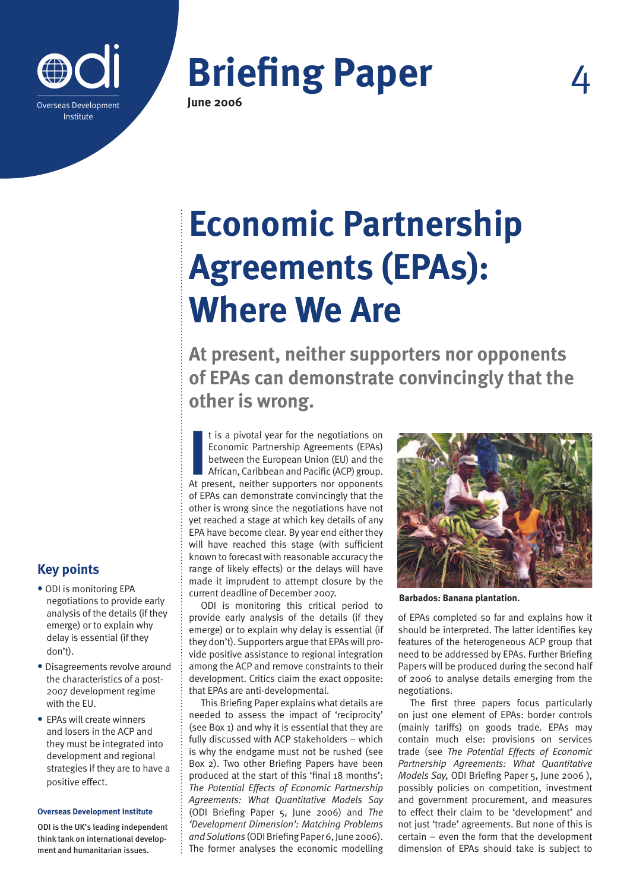

# **Briefing Paper**

**June 2006**

## **Economic Partnership Agreements (EPAs): Where We Are**

**At present, neither supporters nor opponents of EPAs can demonstrate convincingly that the other is wrong.**

It is a pivotal year for the negotiations on<br>
Economic Partnership Agreements (EPAs)<br>
between the European Union (EU) and the<br>
African, Caribbean and Pacific (ACP) group.<br>
At present, neither supporters nor opponents t is a pivotal year for the negotiations on Economic Partnership Agreements (EPAs) between the European Union (EU) and the African, Caribbean and Pacific (ACP) group. of EPAs can demonstrate convincingly that the other is wrong since the negotiations have not yet reached a stage at which key details of any EPA have become clear. By year end either they will have reached this stage (with sufficient known to forecast with reasonable accuracy the range of likely effects) or the delays will have made it imprudent to attempt closure by the current deadline of December 2007.

ODI is monitoring this critical period to provide early analysis of the details (if they emerge) or to explain why delay is essential (if they don't). Supporters argue that EPAs will provide positive assistance to regional integration among the ACP and remove constraints to their development. Critics claim the exact opposite: that EPAs are anti-developmental.

This Briefing Paper explains what details are needed to assess the impact of 'reciprocity' (see Box 1) and why it is essential that they are fully discussed with ACP stakeholders – which is why the endgame must not be rushed (see Box 2). Two other Briefing Papers have been produced at the start of this 'final 18 months': *The Potential Effects of Economic Partnership Agreements: What Quantitative Models Say*  (ODI Briefing Paper 5, June 2006) and *The 'Development Dimension': Matching Problems and Solutions* (ODI Briefing Paper 6, June 2006). The former analyses the economic modelling



**Barbados: Banana plantation.**

of EPAs completed so far and explains how it should be interpreted. The latter identifies key features of the heterogeneous ACP group that need to be addressed by EPAs. Further Briefing Papers will be produced during the second half of 2006 to analyse details emerging from the negotiations.

The first three papers focus particularly on just one element of EPAs: border controls (mainly tariffs) on goods trade. EPAs may contain much else: provisions on services trade (see *The Potential Effects of Economic Partnership Agreements: What Quantitative Models Say,* ODI Briefing Paper 5, June 2006 ), possibly policies on competition, investment and government procurement, and measures to effect their claim to be 'development' and not just 'trade' agreements. But none of this is certain – even the form that the development dimension of EPAs should take is subject to

### **Key points**

- **•** ODI is monitoring EPA negotiations to provide early analysis of the details (if they emerge) or to explain why delay is essential (if they don't).
- **•** Disagreements revolve around the characteristics of a post-2007 development regime with the EU.
- **•** EPAs will create winners and losers in the ACP and they must be integrated into development and regional strategies if they are to have a positive effect.

#### **Overseas Development Institute**

ODI is the UK's leading independent think tank on international development and humanitarian issues.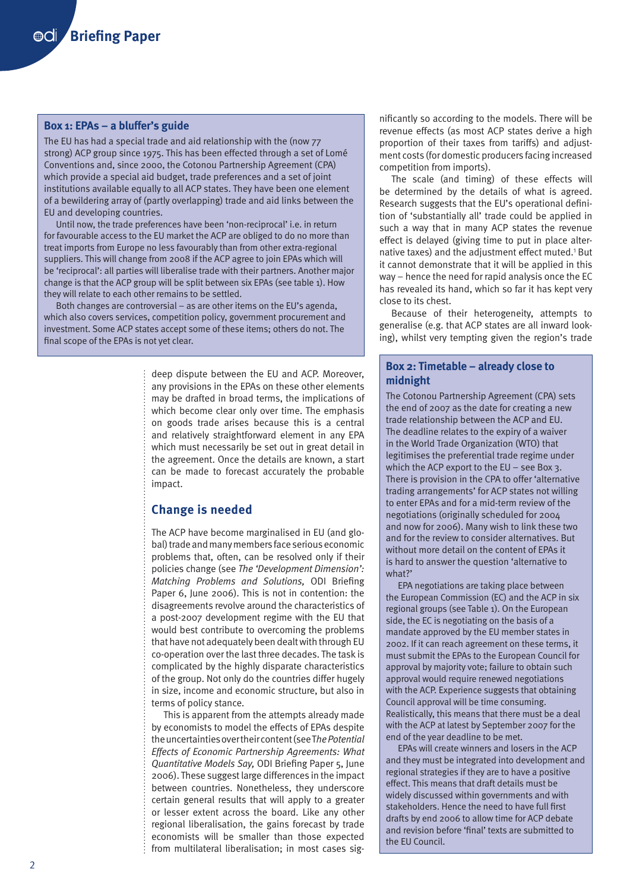#### **Box 1: EPAs – a bluffer's guide**

The EU has had a special trade and aid relationship with the (now 77 strong) ACP group since 1975. This has been effected through a set of Lomé Conventions and, since 2000, the Cotonou Partnership Agreement (CPA) which provide a special aid budget, trade preferences and a set of joint institutions available equally to all ACP states. They have been one element of a bewildering array of (partly overlapping) trade and aid links between the EU and developing countries.

Until now, the trade preferences have been 'non-reciprocal' i.e. in return for favourable access to the EU market the ACP are obliged to do no more than treat imports from Europe no less favourably than from other extra-regional suppliers. This will change from 2008 if the ACP agree to join EPAs which will be 'reciprocal': all parties will liberalise trade with their partners. Another major change is that the ACP group will be split between six EPAs (see table 1). How they will relate to each other remains to be settled.

Both changes are controversial – as are other items on the EU's agenda, which also covers services, competition policy, government procurement and investment. Some ACP states accept some of these items; others do not. The final scope of the EPAs is not yet clear.

> deep dispute between the EU and ACP. Moreover, any provisions in the EPAs on these other elements may be drafted in broad terms, the implications of which become clear only over time. The emphasis on goods trade arises because this is a central and relatively straightforward element in any EPA which must necessarily be set out in great detail in the agreement. Once the details are known, a start can be made to forecast accurately the probable impact.

#### **Change is needed**

The ACP have become marginalised in EU (and global) trade and many members face serious economic problems that, often, can be resolved only if their policies change (see *The 'Development Dimension': Matching Problems and Solutions,* ODI Briefing Paper 6, June 2006). This is not in contention: the disagreements revolve around the characteristics of a post-2007 development regime with the EU that would best contribute to overcoming the problems that have not adequately been dealt with through EU co-operation over the last three decades. The task is complicated by the highly disparate characteristics of the group. Not only do the countries differ hugely in size, income and economic structure, but also in terms of policy stance.

This is apparent from the attempts already made by economists to model the effects of EPAs despite the uncertainties over their content (see T*he Potential Effects of Economic Partnership Agreements: What Quantitative Models Say,* ODI Briefing Paper 5, June 2006). These suggest large differences in the impact between countries. Nonetheless, they underscore certain general results that will apply to a greater or lesser extent across the board. Like any other regional liberalisation, the gains forecast by trade economists will be smaller than those expected from multilateral liberalisation; in most cases significantly so according to the models. There will be revenue effects (as most ACP states derive a high proportion of their taxes from tariffs) and adjustment costs (for domestic producers facing increased competition from imports).

The scale (and timing) of these effects will be determined by the details of what is agreed. Research suggests that the EU's operational definition of 'substantially all' trade could be applied in such a way that in many ACP states the revenue effect is delayed (giving time to put in place alternative taxes) and the adjustment effect muted.<sup>1</sup> But it cannot demonstrate that it will be applied in this way – hence the need for rapid analysis once the EC has revealed its hand, which so far it has kept very close to its chest.

Because of their heterogeneity, attempts to generalise (e.g. that ACP states are all inward looking), whilst very tempting given the region's trade

#### **Box 2: Timetable – already close to midnight**

The Cotonou Partnership Agreement (CPA) sets the end of 2007 as the date for creating a new trade relationship between the ACP and EU. The deadline relates to the expiry of a waiver in the World Trade Organization (WTO) that legitimises the preferential trade regime under which the ACP export to the EU – see Box 3. There is provision in the CPA to offer 'alternative trading arrangements' for ACP states not willing to enter EPAs and for a mid-term review of the negotiations (originally scheduled for 2004 and now for 2006). Many wish to link these two and for the review to consider alternatives. But without more detail on the content of EPAs it is hard to answer the question 'alternative to what?'

EPA negotiations are taking place between the European Commission (EC) and the ACP in six regional groups (see Table 1). On the European side, the EC is negotiating on the basis of a mandate approved by the EU member states in 2002. If it can reach agreement on these terms, it must submit the EPAs to the European Council for approval by majority vote; failure to obtain such approval would require renewed negotiations with the ACP. Experience suggests that obtaining Council approval will be time consuming. Realistically, this means that there must be a deal with the ACP at latest by September 2007 for the end of the year deadline to be met.

EPAs will create winners and losers in the ACP and they must be integrated into development and regional strategies if they are to have a positive effect. This means that draft details must be widely discussed within governments and with stakeholders. Hence the need to have full first drafts by end 2006 to allow time for ACP debate and revision before 'final' texts are submitted to the EU Council.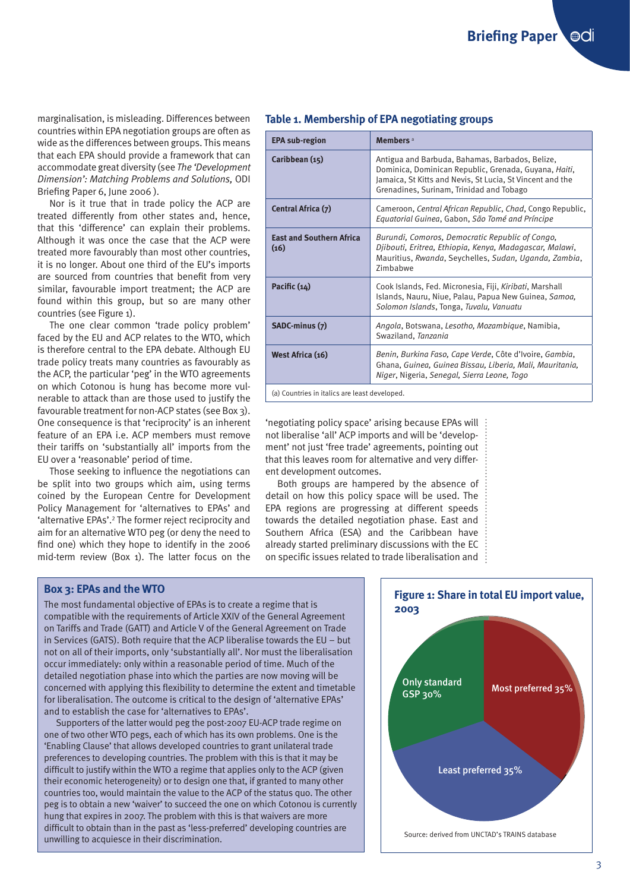marginalisation, is misleading. Differences between countries within EPA negotiation groups are often as wide as the differences between groups. This means that each EPA should provide a framework that can accommodate great diversity (see *The 'Development Dimension': Matching Problems and Solutions,* ODI Briefing Paper 6, June 2006).

Nor is it true that in trade policy the ACP are treated differently from other states and, hence, that this 'difference' can explain their problems. Although it was once the case that the ACP were treated more favourably than most other countries, it is no longer. About one third of the EU's imports are sourced from countries that benefit from very similar, favourable import treatment; the ACP are found within this group, but so are many other countries (see Figure 1).

The one clear common 'trade policy problem' faced by the EU and ACP relates to the WTO, which is therefore central to the EPA debate. Although EU trade policy treats many countries as favourably as the ACP, the particular 'peg' in the WTO agreements on which Cotonou is hung has become more vulnerable to attack than are those used to justify the favourable treatment for non-ACP states (see Box 3). One consequence is that 'reciprocity' is an inherent feature of an EPA i.e. ACP members must remove their tariffs on 'substantially all' imports from the EU over a 'reasonable' period of time.

Those seeking to influence the negotiations can be split into two groups which aim, using terms coined by the European Centre for Development Policy Management for 'alternatives to EPAs' and 'alternative EPAs'.<sup>2</sup> The former reject reciprocity and aim for an alternative WTO peg (or deny the need to find one) which they hope to identify in the 2006 mid-term review (Box 1). The latter focus on the

#### **Table 1. Membership of EPA negotiating groups**

| <b>EPA sub-region</b>                   | Members <sup>a</sup>                                                                                                                                                                                              |
|-----------------------------------------|-------------------------------------------------------------------------------------------------------------------------------------------------------------------------------------------------------------------|
| Caribbean (15)                          | Antigua and Barbuda, Bahamas, Barbados, Belize,<br>Dominica, Dominican Republic, Grenada, Guyana, Haiti,<br>Jamaica, St Kitts and Nevis, St Lucia, St Vincent and the<br>Grenadines, Surinam, Trinidad and Tobago |
| Central Africa (7)                      | Cameroon, Central African Republic, Chad, Congo Republic,<br>Equatorial Guinea, Gabon, São Tomé and Príncipe                                                                                                      |
| <b>East and Southern Africa</b><br>(16) | Burundi, Comoros, Democratic Republic of Congo,<br>Djibouti, Eritrea, Ethiopia, Kenya, Madagascar, Malawi,<br>Mauritius, Rwanda, Seychelles, Sudan, Uganda, Zambia,<br><b>7imhahwe</b>                            |
| Pacific (14)                            | Cook Islands, Fed. Micronesia, Fiji, Kiribati, Marshall<br>Islands, Nauru, Niue, Palau, Papua New Guinea, Samoa,<br>Solomon Islands, Tonga, Tuvalu, Vanuatu                                                       |
| SADC-minus (7)                          | Angola, Botswana, Lesotho, Mozambique, Namibia,<br>Swaziland, Tanzania                                                                                                                                            |
| West Africa (16)                        | Benin, Burkina Faso, Cape Verde, Côte d'Ivoire, Gambia,<br>Ghana, Guinea, Guinea Bissau, Liberia, Mali, Mauritania,<br>Niger, Nigeria, Senegal, Sierra Leone, Togo                                                |
|                                         |                                                                                                                                                                                                                   |

(a) Countries in italics are least developed.

'negotiating policy space' arising because EPAs will not liberalise 'all' ACP imports and will be 'development' not just 'free trade' agreements, pointing out that this leaves room for alternative and very different development outcomes.

Both groups are hampered by the absence of detail on how this policy space will be used. The EPA regions are progressing at different speeds towards the detailed negotiation phase. East and Southern Africa (ESA) and the Caribbean have already started preliminary discussions with the EC on specific issues related to trade liberalisation and  $\frac{1}{2}$ 

#### **Box 3: EPAs and the WTO**

The most fundamental objective of EPAs is to create a regime that is compatible with the requirements of Article XXIV of the General Agreement on Tariffs and Trade (GATT) and Article V of the General Agreement on Trade in Services (GATS). Both require that the ACP liberalise towards the EU – but not on all of their imports, only 'substantially all'. Nor must the liberalisation occur immediately: only within a reasonable period of time. Much of the detailed negotiation phase into which the parties are now moving will be concerned with applying this flexibility to determine the extent and timetable for liberalisation. The outcome is critical to the design of 'alternative EPAs' and to establish the case for 'alternatives to EPAs'.

Supporters of the latter would peg the post-2007 EU-ACP trade regime on one of two other WTO pegs, each of which has its own problems. One is the 'Enabling Clause' that allows developed countries to grant unilateral trade preferences to developing countries. The problem with this is that it may be difficult to justify within the WTO a regime that applies only to the ACP (given their economic heterogeneity) or to design one that, if granted to many other countries too, would maintain the value to the ACP of the status quo. The other peg is to obtain a new 'waiver' to succeed the one on which Cotonou is currently hung that expires in 2007. The problem with this is that waivers are more difficult to obtain than in the past as 'less-preferred' developing countries are unwilling to acquiesce in their discrimination.<br>
unwilling to acquiesce in their discrimination.